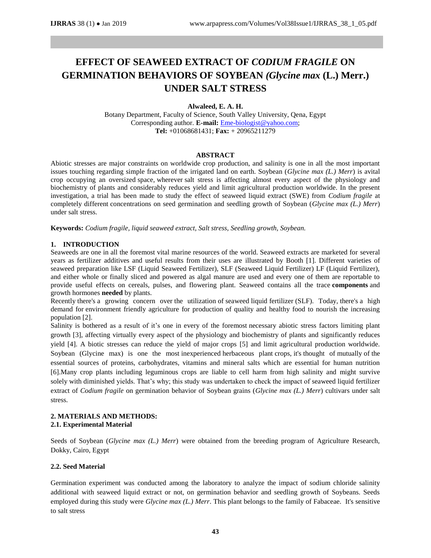# **EFFECT OF SEAWEED EXTRACT OF** *CODIUM FRAGILE* **ON GERMINATION BEHAVIORS OF SOYBEAN** *(Glycine max* **(L.) Merr.) UNDER SALT STRESS**

## **Alwaleed, E. A. H.**

Botany Department, Faculty of Science, South Valley University, Qena, Egypt Corresponding author. **E-mail:** [Eme-biologist@yahoo.com;](mailto:Eme-biologist@yahoo.com) **Tel:** +01068681431; **Fax:** + 20965211279

#### **ABSTRACT**

Abiotic stresses are major constraints on worldwide crop production, and salinity is one in all the most important issues touching regarding simple fraction of the irrigated land on earth. Soybean (*Glycine max (L.) Merr*) is avital crop occupying an oversized space, wherever salt stress is affecting almost every aspect of the physiology and biochemistry of plants and considerably reduces yield and limit agricultural production worldwide. In the present investigation, a trial has been made to study the effect of seaweed liquid extract (SWE) from *Codium fragile* at completely different concentrations on seed germination and seedling growth of Soybean (*Glycine max (L.) Merr*) under salt stress.

**Keywords:** *Codium fragile, liquid seaweed extract, Salt stress, Seedling growth, Soybean.*

#### **1. INTRODUCTION**

Seaweeds are one in all the foremost vital marine resources of the world. Seaweed extracts are marketed for several years as fertilizer additives and useful results from their uses are illustrated by Booth [1]. Different varieties of seaweed preparation like LSF (Liquid Seaweed Fertilizer), SLF (Seaweed Liquid Fertilizer) LF (Liquid Fertilizer), and either whole or finally sliced and powered as algal manure are used and every one of them are reportable to provide useful effects on cereals, pulses, and flowering plant. Seaweed contains all the trace **components** and growth hormones **needed** by plants.

Recently there's a growing concern over the utilization of seaweed liquid fertilizer (SLF). Today, there's a high demand for environment friendly agriculture for production of quality and healthy food to nourish the increasing population [2].

Salinity is bothered as a result of it's one in every of the foremost necessary abiotic stress factors limiting plant growth [3], affecting virtually every aspect of the physiology and biochemistry of plants and significantly reduces yield [4]. A biotic stresses can reduce the yield of major crops [5] and limit agricultural production worldwide. Soybean (Glycine max) is one the most inexperienced herbaceous plant crops, it's thought of mutually of the essential sources of proteins, carbohydrates, vitamins and mineral salts which are essential for human nutrition [6].Many crop plants including leguminous crops are liable to cell harm from high salinity and might survive solely with diminished yields. That's why; this study was undertaken to check the impact of seaweed liquid fertilizer extract of *Codium fragile* on germination behavior of Soybean grains (*Glycine max (L.) Merr*) cultivars under salt stress.

#### **2. MATERIALS AND METHODS: 2.1. Experimental Material**

Seeds of Soybean (*Glycine max (L.) Merr*) were obtained from the breeding program of Agriculture Research, Dokky, Cairo, Egypt

#### **2.2. Seed Material**

Germination experiment was conducted among the laboratory to analyze the impact of sodium chloride salinity additional with seaweed liquid extract or not, on germination behavior and seedling growth of Soybeans. Seeds employed during this study were *Glycine max (L.) Merr*. This plant belongs to the family of Fabaceae. It's sensitive to salt stress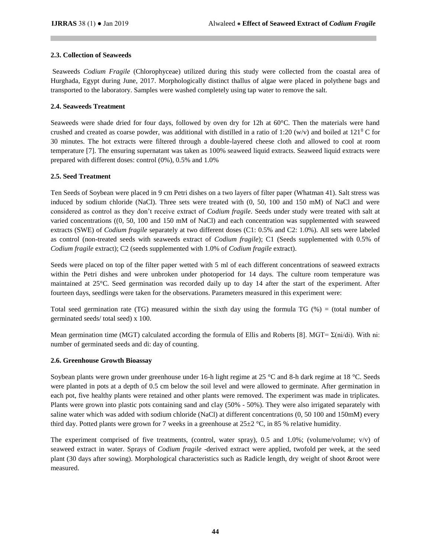# **2.3. Collection of Seaweeds**

Seaweeds *Codium Fragile* (Chlorophyceae) utilized during this study were collected from the coastal area of Hurghada, Egypt during June, 2017. Morphologically distinct thallus of algae were placed in polythene bags and transported to the laboratory. Samples were washed completely using tap water to remove the salt.

## **2.4. Seaweeds Treatment**

Seaweeds were shade dried for four days, followed by oven dry for 12h at 60°C. Then the materials were hand crushed and created as coarse powder, was additional with distilled in a ratio of 1:20 (w/v) and boiled at 121<sup>0</sup> C for 30 minutes. The hot extracts were filtered through a double-layered cheese cloth and allowed to cool at room temperature [7]. The ensuring supernatant was taken as 100% seaweed liquid extracts. Seaweed liquid extracts were prepared with different doses: control (0%), 0.5% and 1.0%

# **2.5. Seed Treatment**

Ten Seeds of Soybean were placed in 9 cm Petri dishes on a two layers of filter paper (Whatman 41). Salt stress was induced by sodium chloride (NaCl). Three sets were treated with (0, 50, 100 and 150 mM) of NaCl and were considered as control as they don't receive extract of *Codium fragile*. Seeds under study were treated with salt at varied concentrations ((0, 50, 100 and 150 mM of NaCl) and each concentration was supplemented with seaweed extracts (SWE) of *Codium fragile* separately at two different doses (C1: 0.5% and C2: 1.0%). All sets were labeled as control (non-treated seeds with seaweeds extract of *Codium fragile*); C1 (Seeds supplemented with 0.5% of *Codium fragile* extract); C2 (seeds supplemented with 1.0% of *Codium fragile* extract).

Seeds were placed on top of the filter paper wetted with 5 ml of each different concentrations of seaweed extracts within the Petri dishes and were unbroken under photoperiod for 14 days. The culture room temperature was maintained at 25°C. Seed germination was recorded daily up to day 14 after the start of the experiment. After fourteen days, seedlings were taken for the observations. Parameters measured in this experiment were:

Total seed germination rate (TG) measured within the sixth day using the formula TG (%) = (total number of germinated seeds/ total seed) x 100.

Mean germination time (MGT) calculated according the formula of Ellis and Roberts [8]. MGT=  $\Sigma$ (ni/di). With ni: number of germinated seeds and di: day of counting.

## **2.6. Greenhouse Growth Bioassay**

Soybean plants were grown under greenhouse under 16-h light regime at 25 °C and 8-h dark regime at 18 °C. Seeds were planted in pots at a depth of 0.5 cm below the soil level and were allowed to germinate. After germination in each pot, five healthy plants were retained and other plants were removed. The experiment was made in triplicates. Plants were grown into plastic pots containing sand and clay (50% - 50%). They were also irrigated separately with saline water which was added with sodium chloride (NaCl) at different concentrations (0, 50 100 and 150mM) every third day. Potted plants were grown for 7 weeks in a greenhouse at  $25\pm2$  °C, in 85 % relative humidity.

The experiment comprised of five treatments, (control, water spray), 0.5 and 1.0%; (volume/volume; v/v) of seaweed extract in water. Sprays of *Codium fragile* -derived extract were applied, twofold per week, at the seed plant (30 days after sowing). Morphological characteristics such as Radicle length, dry weight of shoot &root were measured.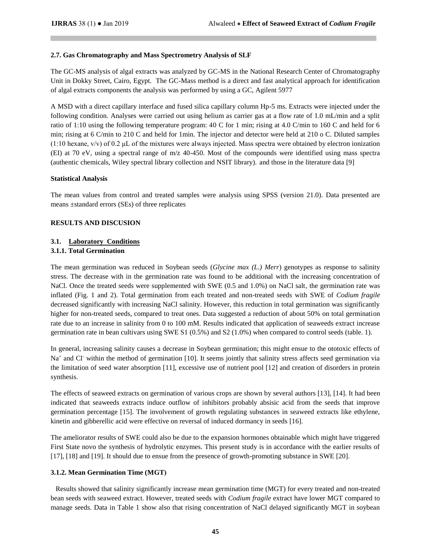#### **2.7. Gas Chromatography and Mass Spectrometry Analysis of SLF**

The GC-MS analysis of algal extracts was analyzed by GC-MS in the National Research Center of Chromatography Unit in Dokky Street, Cairo, Egypt. The GC-Mass method is a direct and fast analytical approach for identification of algal extracts components the analysis was performed by using a GC, Agilent 5977

A MSD with a direct capillary interface and fused silica capillary column Hp-5 ms. Extracts were injected under the following condition. Analyses were carried out using helium as carrier gas at a flow rate of 1.0 mL/min and a split ratio of 1:10 using the following temperature program: 40 C for 1 min; rising at 4.0 C/min to 160 C and held for 6 min; rising at 6 C/min to 210 C and held for 1min. The injector and detector were held at 210 o C. Diluted samples  $(1:10 \text{ hexane}, v/v)$  of 0.2 µL of the mixtures were always injected. Mass spectra were obtained by electron ionization (EI) at 70 eV, using a spectral range of m/z 40-450. Most of the compounds were identified using mass spectra (authentic chemicals, Wiley spectral library collection and NSIT library). and those in the literature data [\[9\]](https://www.sciencedirect.com/science/article/pii/S2221169115002221#bib14)

## **Statistical Analysis**

The mean values from control and treated samples were analysis using SPSS (version 21.0). Data presented are means ±standard errors (SEs) of three replicates

## **RESULTS AND DISCUSION**

# **3.1. Laboratory Conditions 3.1.1. Total Germination**

The mean germination was reduced in Soybean seeds (*Glycine max (L.) Merr*) genotypes as response to salinity stress. The decrease with in the germination rate was found to be additional with the increasing concentration of NaCl. Once the treated seeds were supplemented with SWE (0.5 and 1.0%) on NaCl salt, the germination rate was inflated (Fig. 1 and 2). Total germination from each treated and non-treated seeds with SWE of *Codium fragile*  decreased significantly with increasing NaCl salinity. However, this reduction in total germination was significantly higher for non-treated seeds, compared to treat ones. Data suggested a reduction of about 50% on total germination rate due to an increase in salinity from 0 to 100 mM. Results indicated that application of seaweeds extract increase germination rate in bean cultivars using SWE S1 (0.5%) and S2 (1.0%) when compared to control seeds (table. 1).

In general, increasing salinity causes a decrease in Soybean germination; this might ensue to the ototoxic effects of Na<sup>+</sup> and Cl<sup>-</sup> within the method of germination [10]. It seems jointly that salinity stress affects seed germination via the limitation of seed water absorption [11], excessive use of nutrient pool [12] and creation of disorders in protein synthesis.

The effects of seaweed extracts on germination of various crops are shown by several authors [13], [14]. It had been indicated that seaweeds extracts induce outflow of inhibitors probably absisic acid from the seeds that improve germination percentage [15]. The involvement of growth regulating substances in seaweed extracts like ethylene, kinetin and gibberellic acid were effective on reversal of induced dormancy in seeds [16].

The ameliorator results of SWE could also be due to the expansion hormones obtainable which might have triggered First State novo the synthesis of hydrolytic enzymes. This present study is in accordance with the earlier results of [17], [18] and [19]. It should due to ensue from the presence of growth-promoting substance in SWE [20].

## **3.1.2. Mean Germination Time (MGT)**

Results showed that salinity significantly increase mean germination time (MGT) for every treated and non-treated bean seeds with seaweed extract. However, treated seeds with *Codium fragile* extract have lower MGT compared to manage seeds. Data in Table 1 show also that rising concentration of NaCl delayed significantly MGT in soybean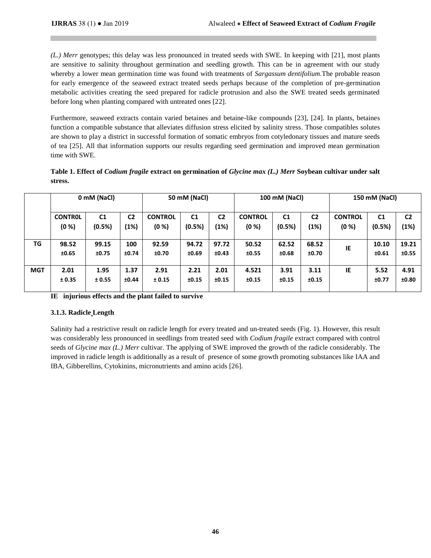*(L.) Merr* genotypes; this delay was less pronounced in treated seeds with SWE. In keeping with [21], most plants are sensitive to salinity throughout germination and seedling growth. This can be in agreement with our study whereby a lower mean germination time was found with treatments of *Sargassum dentifolium*.The probable reason for early emergence of the seaweed extract treated seeds perhaps because of the completion of pre-germination metabolic activities creating the seed prepared for radicle protrusion and also the SWE treated seeds germinated before long when planting compared with untreated ones [22].

Furthermore, seaweed extracts contain varied betaines and betaine-like compounds [23], [24]. In plants, betaines function a compatible substance that alleviates diffusion stress elicited by salinity stress. Those compatibles solutes are shown to play a district in successful formation of somatic embryos from cotyledonary tissues and mature seeds of tea [25]. All that information supports our results regarding seed germination and improved mean germination time with SWE.

| Table 1. Effect of <i>Codium fragile</i> extract on germination of <i>Glycine max (L.) Merr</i> Soybean cultivar under salt |  |
|-----------------------------------------------------------------------------------------------------------------------------|--|
| stress.                                                                                                                     |  |

|            | 0 mM (NaCl)    |                |                | 50 mM (NaCl)   |                |                | 100 mM (NaCl)  |                |                | 150 mM (NaCl)  |                |                |
|------------|----------------|----------------|----------------|----------------|----------------|----------------|----------------|----------------|----------------|----------------|----------------|----------------|
|            | <b>CONTROL</b> | C <sub>1</sub> | C <sub>2</sub> | <b>CONTROL</b> | C <sub>1</sub> | C <sub>2</sub> | <b>CONTROL</b> | C <sub>1</sub> | C <sub>2</sub> | <b>CONTROL</b> | C <sub>1</sub> | C <sub>2</sub> |
|            | (0 %)          | (0.5%)         | (1%)           | (0 %)          | (0.5%)         | (1%)           | (0 %)          | (0.5%)         | (1%)           | (0 %)          | (0.5%)         | (1%)           |
| TG         | 98.52          | 99.15          | 100            | 92.59          | 94.72          | 97.72          | 50.52          | 62.52          | 68.52          |                | 10.10          | 19.21          |
|            | ±0.65          | ±0.75          | ±0.74          | ±0.70          | ±0.69          | ±0.43          | ±0.55          | ±0.68          | ±0.70          | IE             | ±0.61          | ±0.55          |
|            |                |                |                |                |                |                |                |                |                |                |                |                |
| <b>MGT</b> | 2.01           | 1.95           | 1.37           | 2.91           | 2.21           | 2.01           | 4.521          | 3.91           | 3.11           | IE             | 5.52           | 4.91           |
|            | ± 0.35         | ± 0.55         | ±0.44          | ± 0.15         | ±0.15          | ±0.15          | ±0.15          | ±0.15          | ±0.15          |                | ±0.77          | ±0.80          |
|            |                |                |                |                |                |                |                |                |                |                |                |                |

**IE injurious effects and the plant failed to survive**

## **3.1.3. Radicle Length**

Salinity had a restrictive result on radicle length for every treated and un-treated seeds (Fig. 1). However, this result was considerably less pronounced in seedlings from treated seed with *Codium fragile* extract compared with control seeds of *Glycine max (L.) Merr* cultivar. The applying of SWE improved the growth of the radicle considerably. The improved in radicle length is additionally as a result of presence of some growth promoting substances like IAA and IBA, Gibberellins, Cytokinins, micronutrients and amino acids [26].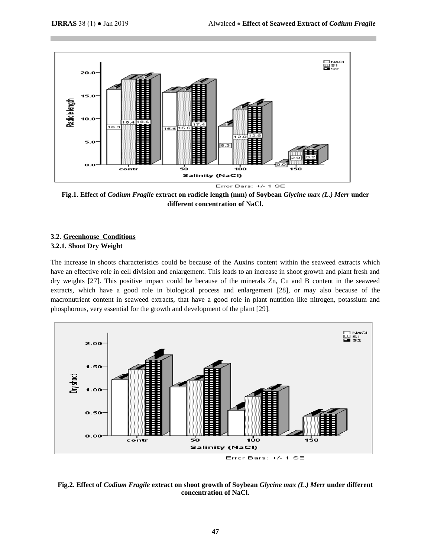

**Fig.1. Effect of** *Codium Fragile* **extract on radicle length (mm) of Soybean** *Glycine max (L.) Merr* **under different concentration of NaCl.**

# **3.2. Greenhouse Conditions 3.2.1. Shoot Dry Weight**

The increase in shoots characteristics could be because of the Auxins content within the seaweed extracts which have an effective role in cell division and enlargement. This leads to an increase in shoot growth and plant fresh and dry weights [27]. This positive impact could be because of the minerals Zn, Cu and B content in the seaweed extracts, which have a good role in biological process and enlargement [28], or may also because of the macronutrient content in seaweed extracts, that have a good role in plant nutrition like nitrogen, potassium and phosphorous, very essential for the growth and development of the plant [29].



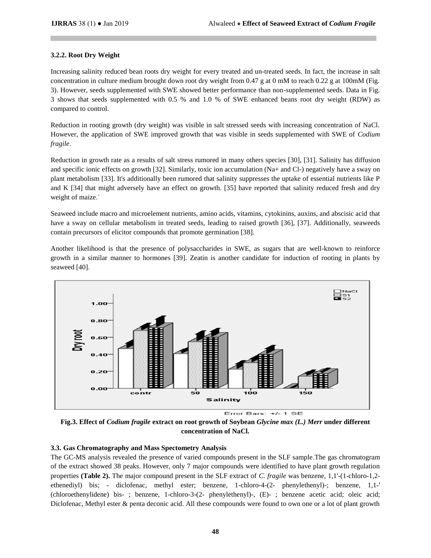#### **3.2.2. Root Dry Weight**

Increasing salinity reduced bean roots dry weight for every treated and un-treated seeds. In fact, the increase in salt concentration in culture medium brought down root dry weight from 0.47 g at 0 mM to reach 0.22 g at 100mM (Fig. 3). However, seeds supplemented with SWE showed better performance than non-supplemented seeds. Data in Fig. 3 shows that seeds supplemented with 0.5 % and 1.0 % of SWE enhanced beans root dry weight (RDW) as compared to control.

Reduction in rooting growth (dry weight) was visible in salt stressed seeds with increasing concentration of NaCl. However, the application of SWE improved growth that was visible in seeds supplemented with SWE of *Codium fragile*.

Reduction in growth rate as a results of salt stress rumored in many others species [30], [31]. Salinity has diffusion and specific ionic effects on growth [32]. Similarly, toxic ion accumulation (Na+ and Cl-) negatively have a sway on plant metabolism [33]. It's additionally been rumored that salinity suppresses the uptake of essential nutrients like P and K [34] that might adversely have an effect on growth. [35] have reported that salinity reduced fresh and dry weight of maize.`

Seaweed include macro and microelement nutrients, amino acids, vitamins, cytokinins, auxins, and abscisic acid that have a sway on cellular metabolism in treated seeds, leading to raised growth [36], [37]. Additionally, seaweeds contain precursors of elicitor compounds that promote germination [38].

Another likelihood is that the presence of polysaccharides in SWE, as sugars that are well-known to reinforce growth in a similar manner to hormones [39]. Zeatin is another candidate for induction of rooting in plants by seaweed [40].



**Fig.3. Effect of** *Codium fragile* **extract on root growth of Soybean** *Glycine max (L.) Merr* **under different concentration of NaCl.**

## **3.3. Gas Chromatography and Mass Spectometry Analysis**

The GC-MS analysis revealed the presence of varied compounds present in the SLF sample.The gas chromatogram of the extract showed 38 peaks. However, only 7 major compounds were identified to have plant growth regulation properties **(Table 2).** The major compound present in the SLF extract of *C. fragile* was benzene, 1,1'-(1-chloro-1,2 ethenediyl) bis; - diclofenac, methyl ester; benzene, 1-chloro-4-(2- phenylethenyl)-; benzene, 1,1-' (chloroethenylidene) bis- ; benzene, 1-chloro-3-(2- phenylethenyl)-, (E)- ; benzene acetic acid; oleic acid; Diclofenac, Methyl ester & penta deconic acid. All these compounds were found to own one or a lot of plant growth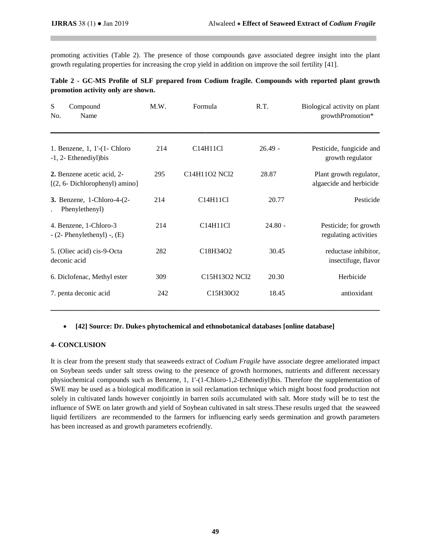promoting activities (Table 2). The presence of those compounds gave associated degree insight into the plant growth regulating properties for increasing the crop yield in addition on improve the soil fertility [41].

| Table 2 - GC-MS Profile of SLF prepared from Codium fragile. Compounds with reported plant growth |  |  |  |  |  |
|---------------------------------------------------------------------------------------------------|--|--|--|--|--|
| promotion activity only are shown.                                                                |  |  |  |  |  |

| ${\bf S}$<br>Compound<br>Name<br>No.                            | M.W. | Formula       | R.T.      | Biological activity on plant<br>growthPromotion*   |
|-----------------------------------------------------------------|------|---------------|-----------|----------------------------------------------------|
| 1. Benzene, 1, 1'-(1- Chloro<br>-1, 2- Ethenediyl) bis          | 214  | C14H11Cl      | $26.49 -$ | Pesticide, fungicide and<br>growth regulator       |
| 2. Benzene acetic acid, 2-<br>$[(2, 6 - Dichloropheny])$ amino] | 295  | C14H11O2 NCl2 | 28.87     | Plant growth regulator,<br>algaecide and herbicide |
| 3. Benzene, 1-Chloro-4-(2-<br>Phenylethenyl)                    | 214  | C14H11Cl      | 20.77     | Pesticide                                          |
| 4. Benzene, 1-Chloro-3<br>$-$ (2- Phenylethenyl) $-$ , (E)      | 214  | C14H11Cl      | $24.80 -$ | Pesticide; for growth<br>regulating activities     |
| 5. (Oliec acid) cis-9-Octa<br>deconic acid                      | 282  | C18H34O2      | 30.45     | reductase inhibitor,<br>insectifuge, flavor        |
| 6. Diclofenac, Methyl ester                                     | 309  | C15H13O2 NCl2 | 20.30     | Herbicide                                          |
| 7. penta deconic acid                                           | 242  | C15H30O2      | 18.45     | antioxidant                                        |

## **•** [42] Source: Dr. Duke's phytochemical and ethnobotanical databases [online database]

#### **4- CONCLUSION**

It is clear from the present study that seaweeds extract of *Codium Fragile* have associate degree ameliorated impact on Soybean seeds under salt stress owing to the presence of growth hormones, nutrients and different necessary physiochemical compounds such as Benzene, 1, 1'-(1-Chloro-1,2-Ethenediyl)bis. Therefore the supplementation of SWE may be used as a biological modification in soil reclamation technique which might boost food production not solely in cultivated lands however conjointly in barren soils accumulated with salt. More study will be to test the influence of SWE on later growth and yield of Soybean cultivated in salt stress.These results urged that the seaweed liquid fertilizers are recommended to the farmers for influencing early seeds germination and growth parameters has been increased as and growth parameters ecofriendly.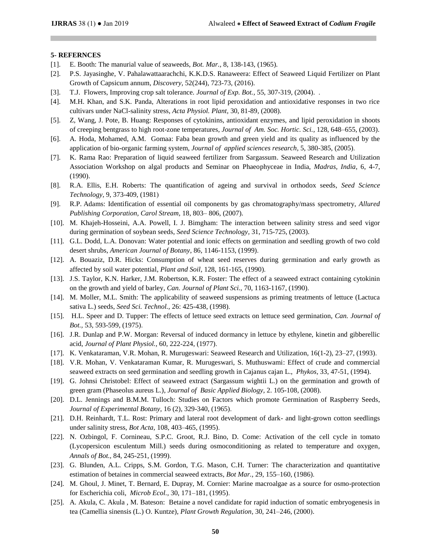#### **5- REFERNCES**

- [1]. E. Booth: The manurial value of seaweeds, *Bot. Mar.,* 8, 138-143, (1965).
- [2]. P.S. Jayasinghe, V. Pahalawattaarachchi, K.K.D.S. Ranaweera: Effect of Seaweed Liquid Fertilizer on Plant Growth of Capsicum annum, *Discovery,* 52(244), 723-73, (2016).
- [3]. T.J. Flowers, Improving crop salt tolerance. *Journal of Exp. Bot.,* 55, 307-319, (2004). .
- [4]. M.H. Khan, and S.K. Panda, Alterations in root lipid peroxidation and antioxidative responses in two rice cultivars under NaCl-salinity stress, *Acta Physiol. Plant,* 30, 81-89, (2008).
- [5]. Z, Wang, J. Pote, B. Huang: Responses of cytokinins, antioxidant enzymes, and lipid peroxidation in shoots of creeping bentgrass to high root-zone temperatures*, Journal of Am. Soc. Hortic. Sci.,* 128, 648–655, (2003).
- [6]. A. Hoda, Mohamed, A.M. Gomaa: Faba bean growth and green yield and its quality as influenced by the application of bio-organic farming system*, Journal of applied sciences research,* 5, 380-385, (2005).
- [7]. K. Rama Rao: Preparation of liquid seaweed fertilizer from Sargassum. Seaweed Research and Utilization Association Workshop on algal products and Seminar on Phaeophyceae in India, *Madras, India,* 6, 4-7, (1990).
- [8]. R.A. Ellis, E.H. Roberts: The quantification of ageing and survival in orthodox seeds, *Seed Science Technology*, 9, 373-409, (1981(
- [9]. R.P. Adams: Identification of essential oil components by gas chromatography/mass spectrometry, *Allured Publishing Corporation, Carol Stream,* 18, 803– 806, (2007).
- [10]. M. Khajeh-Hosseini, A.A. Powell, I. J. Bimgham: The interaction between salinity stress and seed vigor during germination of soybean seeds, *Seed Science Technology,* 31, 715-725, (2003).
- [11]. G.L. Dodd, L.A. Donovan: Water potential and ionic effects on germination and seedling growth of two cold desert shrubs, *American Journal of Botany*, 86, 1146-1153, (1999).
- [12]. A. Bouaziz, D.R. Hicks: Consumption of wheat seed reserves during germination and early growth as affected by soil water potential, *Plant and Soil,* 128, 161-165, (1990).
- [13]. J.S. Taylor, K.N. Harker, J.M. Robertson, K.R. Foster: The effect of a seaweed extract containing cytokinin on the growth and yield of barley, *Can. Journal of Plant Sci.,* 70, 1163-1167, (1990).
- [14]. M. Moller, M.L. Smith: The applicability of seaweed suspensions as priming treatments of lettuce (Lactuca sativa L.) seeds, *Seed Sci. Technol.,* 26: 425-438, (1998).
- [15]. H.L. Speer and D. Tupper: The effects of lettuce seed extracts on lettuce seed germination, *Can. Journal of Bot.,* 53, 593-599, (1975).
- [16]. J.R. Dunlap and P.W. Morgan: Reversal of induced dormancy in lettuce by ethylene, kinetin and gibberellic acid, *Journal of Plant Physiol.,* 60, 222-224, (1977).
- [17]. K. Venkataraman, V.R. Mohan, R. Murugeswari: Seaweed Research and Utilization, 16(1-2), 23–27, (1993).
- [18]. V.R. Mohan, V. Venkataraman Kumar, R. Murugeswari, S. Muthuswami: Effect of crude and commercial seaweed extracts on seed germination and seedling growth in Cajanus cajan L., *Phykos,* 33, 47-51, (1994).
- [19]. G. Johnsi Christobel: Effect of seaweed extract (Sargassum wightii L.) on the germination and growth of green gram (Phaseolus aureus L.), *Journal of Basic Applied Biology,* 2. 105-108, (2008).
- [20]. D.L. Jennings and B.M.M. Tulloch: Studies on Factors which promote Germination of Raspberry Seeds, *Journal of Experimental Botany,* 16 (2), 329-340, (1965).
- [21]. D.H. Reinhardt, T.L. Rost: Primary and lateral root development of dark- and light-grown cotton seedlings under salinity stress, *Bot Acta,* 108, 403–465, (1995).
- [22]. N. Ozbingol, F. Cornineau, S.P.C. Groot, R.J. Bino, D. Come: Activation of the cell cycle in tomato (Lycopersicon esculentum Mill.) seeds during osmoconditioning as related to temperature and oxygen, *Annals of Bot.,* 84, 245-251, (1999).
- [23]. G. Blunden, A.L. Cripps, S.M. Gordon, T.G. Mason, C.H. Turner: The characterization and quantitative estimation of betaines in commercial seaweed extracts, *Bot Mar.,* 29, 155–160, (1986).
- [24]. M. Ghoul, J. Minet, T. Bernard, E. Dupray, M. Cornier: Marine macroalgae as a source for osmo-protection for Escherichia coli, *Microb Ecol.,* 30, 171–181, (1995).
- [25]. A. Akula, C. Akula , M. Bateson: Betaine a novel candidate for rapid induction of somatic embryogenesis in tea (Camellia sinensis (L.) O. Kuntze), *Plant Growth Regulation*, 30, 241–246, (2000).